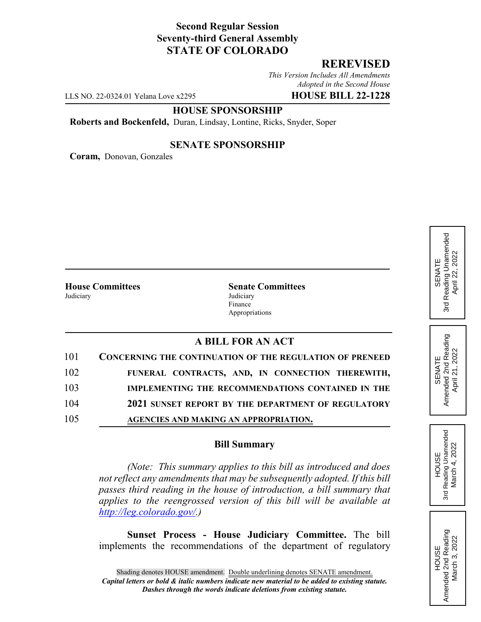# **Second Regular Session Seventy-third General Assembly STATE OF COLORADO**

# **REREVISED**

*This Version Includes All Amendments Adopted in the Second House*

LLS NO. 22-0324.01 Yelana Love x2295 **HOUSE BILL 22-1228**

### **HOUSE SPONSORSHIP**

**Roberts and Bockenfeld,** Duran, Lindsay, Lontine, Ricks, Snyder, Soper

#### **SENATE SPONSORSHIP**

**Coram,** Donovan, Gonzales

|           | <b>House Committees</b> |
|-----------|-------------------------|
| Judiciary |                         |

**Senate Committees Judiciary** Finance Appropriations

## **A BILL FOR AN ACT**

| 101 | <b>CONCERNING THE CONTINUATION OF THE REGULATION OF PRENEED</b> |
|-----|-----------------------------------------------------------------|
| 102 | FUNERAL CONTRACTS, AND, IN CONNECTION THEREWITH,                |
| 103 | IMPLEMENTING THE RECOMMENDATIONS CONTAINED IN THE               |
| 104 | 2021 SUNSET REPORT BY THE DEPARTMENT OF REGULATORY              |
| 105 | AGENCIES AND MAKING AN APPROPRIATION.                           |

#### **Bill Summary**

*(Note: This summary applies to this bill as introduced and does not reflect any amendments that may be subsequently adopted. If this bill passes third reading in the house of introduction, a bill summary that applies to the reengrossed version of this bill will be available at http://leg.colorado.gov/.)*

**Sunset Process - House Judiciary Committee.** The bill implements the recommendations of the department of regulatory

Reading Unamended 3rd Reading Unamended April 22, 2022 April 22, 2022 SENATE 3rd

SENATE<br>Amended 2nd Reading<br>April 21, 2022 Amended 2nd Reading April 21, 2022

HOUSE 3rd Reading Unamended March 4, 2022

Reading Unamended March 4, 2022

3rd

HOUSE<br>Amended 2nd Reading Amended 2nd Reading March 3, 2022

March 3, 2022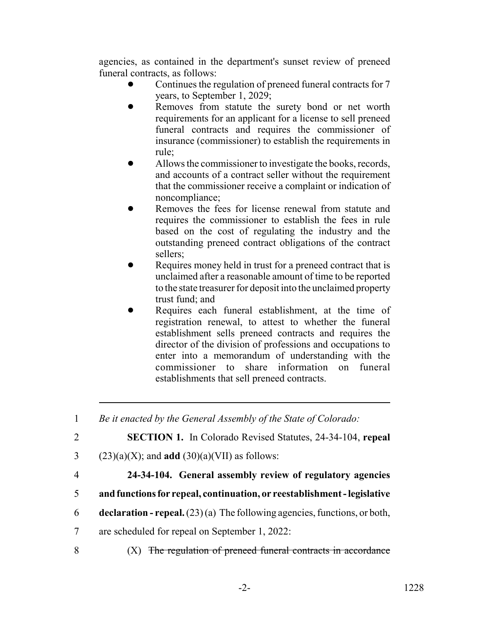agencies, as contained in the department's sunset review of preneed funeral contracts, as follows:

- Continues the regulation of preneed funeral contracts for 7 years, to September 1, 2029;
- Removes from statute the surety bond or net worth requirements for an applicant for a license to sell preneed funeral contracts and requires the commissioner of insurance (commissioner) to establish the requirements in rule;
- Allows the commissioner to investigate the books, records, and accounts of a contract seller without the requirement that the commissioner receive a complaint or indication of noncompliance;
- Removes the fees for license renewal from statute and requires the commissioner to establish the fees in rule based on the cost of regulating the industry and the outstanding preneed contract obligations of the contract sellers;
- Requires money held in trust for a preneed contract that is unclaimed after a reasonable amount of time to be reported to the state treasurer for deposit into the unclaimed property trust fund; and
- Requires each funeral establishment, at the time of registration renewal, to attest to whether the funeral establishment sells preneed contracts and requires the director of the division of professions and occupations to enter into a memorandum of understanding with the commissioner to share information on funeral establishments that sell preneed contracts.

1 *Be it enacted by the General Assembly of the State of Colorado:*

2 **SECTION 1.** In Colorado Revised Statutes, 24-34-104, **repeal**

- 3 (23)(a)(X); and **add** (30)(a)(VII) as follows:
- 

# 4 **24-34-104. General assembly review of regulatory agencies**

- 5 **and functions for repeal, continuation, or reestablishment legislative**
- 6 **declaration repeal.** (23) (a) The following agencies, functions, or both,
- 7 are scheduled for repeal on September 1, 2022:
- $8$   $(X)$  The regulation of preneed funeral contracts in accordance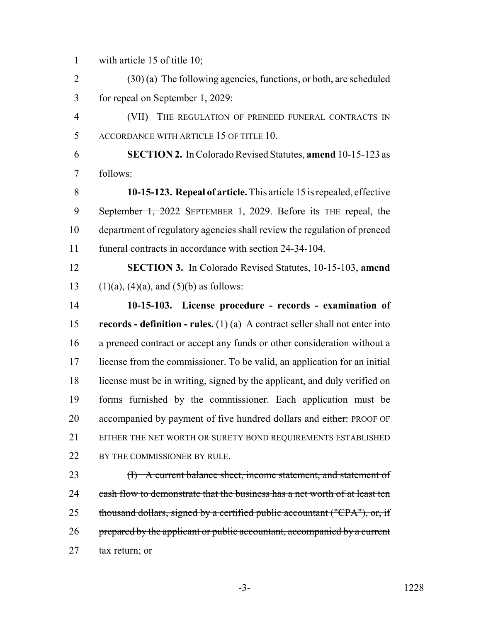1 with article 15 of title 10;

2 (30) (a) The following agencies, functions, or both, are scheduled 3 for repeal on September 1, 2029:

4 (VII) THE REGULATION OF PRENEED FUNERAL CONTRACTS IN 5 ACCORDANCE WITH ARTICLE 15 OF TITLE 10.

6 **SECTION 2.** In Colorado Revised Statutes, **amend** 10-15-123 as 7 follows:

 **10-15-123. Repeal of article.** This article 15 is repealed, effective 9 September 1, 2022 SEPTEMBER 1, 2029. Before its THE repeal, the department of regulatory agencies shall review the regulation of preneed funeral contracts in accordance with section 24-34-104.

12 **SECTION 3.** In Colorado Revised Statutes, 10-15-103, **amend** 13 (1)(a), (4)(a), and (5)(b) as follows:

 **10-15-103. License procedure - records - examination of records - definition - rules.** (1) (a) A contract seller shall not enter into a preneed contract or accept any funds or other consideration without a license from the commissioner. To be valid, an application for an initial license must be in writing, signed by the applicant, and duly verified on forms furnished by the commissioner. Each application must be 20 accompanied by payment of five hundred dollars and either: PROOF OF 21 EITHER THE NET WORTH OR SURETY BOND REQUIREMENTS ESTABLISHED 22 BY THE COMMISSIONER BY RULE.

23 (I) A current balance sheet, income statement, and statement of 24 cash flow to demonstrate that the business has a net worth of at least ten 25 thousand dollars, signed by a certified public accountant ("CPA"), or, if 26 prepared by the applicant or public accountant, accompanied by a current 27 tax return; or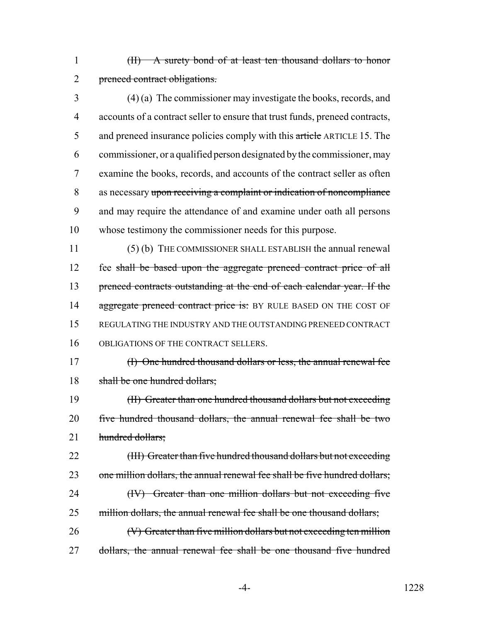1 (II) A surety bond of at least ten thousand dollars to honor 2 preneed contract obligations.

 (4) (a) The commissioner may investigate the books, records, and accounts of a contract seller to ensure that trust funds, preneed contracts, 5 and preneed insurance policies comply with this article ARTICLE 15. The commissioner, or a qualified person designated by the commissioner, may examine the books, records, and accounts of the contract seller as often as necessary upon receiving a complaint or indication of noncompliance and may require the attendance of and examine under oath all persons whose testimony the commissioner needs for this purpose.

11 (5) (b) THE COMMISSIONER SHALL ESTABLISH the annual renewal 12 fee shall be based upon the aggregate preneed contract price of all 13 preneed contracts outstanding at the end of each calendar year. If the 14 aggregate preneed contract price is: BY RULE BASED ON THE COST OF 15 REGULATING THE INDUSTRY AND THE OUTSTANDING PRENEED CONTRACT 16 OBLIGATIONS OF THE CONTRACT SELLERS.

17 (I) One hundred thousand dollars or less, the annual renewal fee 18 shall be one hundred dollars:

19 (II) Greater than one hundred thousand dollars but not exceeding 20 five hundred thousand dollars, the annual renewal fee shall be two 21 hundred dollars;

22 (III) Greater than five hundred thousand dollars but not exceeding 23 one million dollars, the annual renewal fee shall be five hundred dollars; 24 (IV) Greater than one million dollars but not exceeding five 25 million dollars, the annual renewal fee shall be one thousand dollars; 26 (V) Greater than five million dollars but not exceeding ten million

27 dollars, the annual renewal fee shall be one thousand five hundred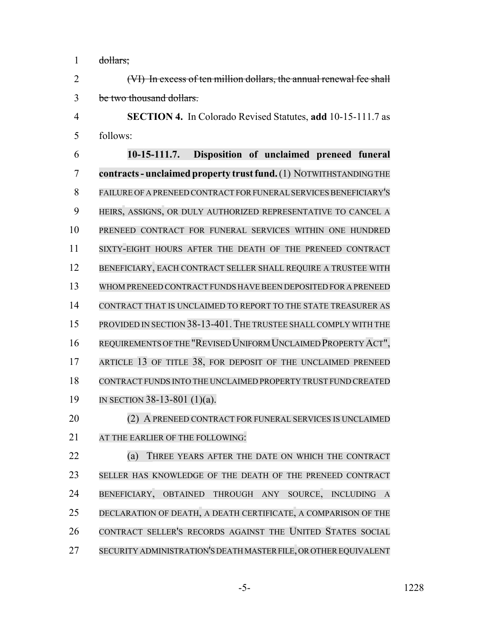dollars;

 (VI) In excess of ten million dollars, the annual renewal fee shall be two thousand dollars.

 **SECTION 4.** In Colorado Revised Statutes, **add** 10-15-111.7 as follows:

 **10-15-111.7. Disposition of unclaimed preneed funeral contracts- unclaimed property trustfund.**(1) NOTWITHSTANDING THE 8 FAILURE OF A PRENEED CONTRACT FOR FUNERAL SERVICES BENEFICIARY'S HEIRS, ASSIGNS, OR DULY AUTHORIZED REPRESENTATIVE TO CANCEL A PRENEED CONTRACT FOR FUNERAL SERVICES WITHIN ONE HUNDRED SIXTY-EIGHT HOURS AFTER THE DEATH OF THE PRENEED CONTRACT BENEFICIARY, EACH CONTRACT SELLER SHALL REQUIRE A TRUSTEE WITH WHOM PRENEED CONTRACT FUNDS HAVE BEEN DEPOSITED FOR A PRENEED CONTRACT THAT IS UNCLAIMED TO REPORT TO THE STATE TREASURER AS PROVIDED IN SECTION 38-13-401.THE TRUSTEE SHALL COMPLY WITH THE REQUIREMENTS OFTHE "REVISED UNIFORM UNCLAIMED PROPERTY ACT", 17 ARTICLE 13 OF TITLE 38, FOR DEPOSIT OF THE UNCLAIMED PRENEED CONTRACT FUNDS INTO THE UNCLAIMED PROPERTY TRUST FUND CREATED IN SECTION 38-13-801 (1)(a). (2) A PRENEED CONTRACT FOR FUNERAL SERVICES IS UNCLAIMED

21 AT THE EARLIER OF THE FOLLOWING:

 (a) THREE YEARS AFTER THE DATE ON WHICH THE CONTRACT SELLER HAS KNOWLEDGE OF THE DEATH OF THE PRENEED CONTRACT BENEFICIARY, OBTAINED THROUGH ANY SOURCE, INCLUDING A DECLARATION OF DEATH, A DEATH CERTIFICATE, A COMPARISON OF THE CONTRACT SELLER'S RECORDS AGAINST THE UNITED STATES SOCIAL SECURITY ADMINISTRATION'S DEATH MASTER FILE, OR OTHER EQUIVALENT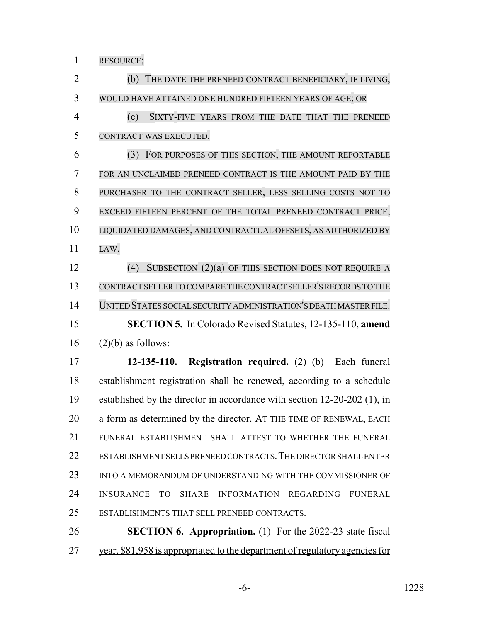RESOURCE;

 (b) THE DATE THE PRENEED CONTRACT BENEFICIARY, IF LIVING, WOULD HAVE ATTAINED ONE HUNDRED FIFTEEN YEARS OF AGE; OR (c) SIXTY-FIVE YEARS FROM THE DATE THAT THE PRENEED CONTRACT WAS EXECUTED. (3) FOR PURPOSES OF THIS SECTION, THE AMOUNT REPORTABLE FOR AN UNCLAIMED PRENEED CONTRACT IS THE AMOUNT PAID BY THE PURCHASER TO THE CONTRACT SELLER, LESS SELLING COSTS NOT TO EXCEED FIFTEEN PERCENT OF THE TOTAL PRENEED CONTRACT PRICE, LIQUIDATED DAMAGES, AND CONTRACTUAL OFFSETS, AS AUTHORIZED BY LAW. (4) SUBSECTION (2)(a) OF THIS SECTION DOES NOT REQUIRE A CONTRACT SELLERTO COMPARE THE CONTRACT SELLER'S RECORDS TO THE UNITED STATES SOCIAL SECURITY ADMINISTRATION'S DEATH MASTER FILE. **SECTION 5.** In Colorado Revised Statutes, 12-135-110, **amend** (2)(b) as follows: **12-135-110. Registration required.** (2) (b) Each funeral establishment registration shall be renewed, according to a schedule established by the director in accordance with section 12-20-202 (1), in a form as determined by the director. AT THE TIME OF RENEWAL, EACH FUNERAL ESTABLISHMENT SHALL ATTEST TO WHETHER THE FUNERAL 22 ESTABLISHMENT SELLS PRENEED CONTRACTS. THE DIRECTOR SHALL ENTER

23 INTO A MEMORANDUM OF UNDERSTANDING WITH THE COMMISSIONER OF INSURANCE TO SHARE INFORMATION REGARDING FUNERAL ESTABLISHMENTS THAT SELL PRENEED CONTRACTS.

 **SECTION 6. Appropriation.** (1) For the 2022-23 state fiscal year, \$81,958 is appropriated to the department of regulatory agencies for